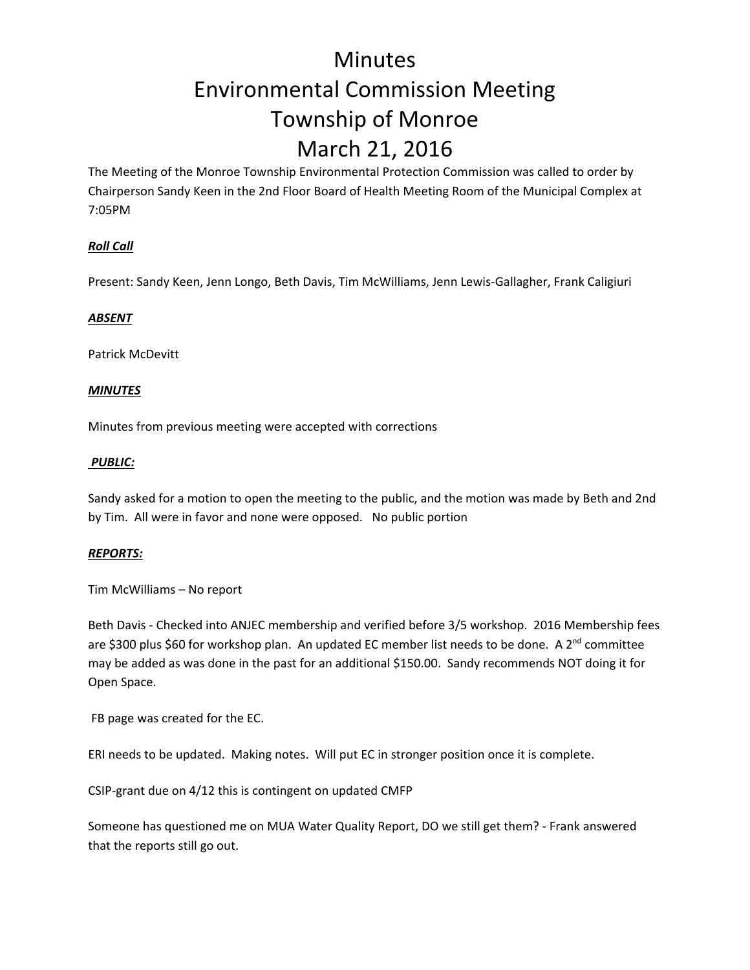## Minutes Environmental Commission Meeting Township of Monroe March 21, 2016

The Meeting of the Monroe Township Environmental Protection Commission was called to order by Chairperson Sandy Keen in the 2nd Floor Board of Health Meeting Room of the Municipal Complex at 7:05PM

### *Roll Call*

Present: Sandy Keen, Jenn Longo, Beth Davis, Tim McWilliams, Jenn Lewis‐Gallagher, Frank Caligiuri

### *ABSENT*

Patrick McDevitt

### *MINUTES*

Minutes from previous meeting were accepted with corrections

#### *PUBLIC:*

Sandy asked for a motion to open the meeting to the public, and the motion was made by Beth and 2nd by Tim. All were in favor and none were opposed. No public portion

### *REPORTS:*

Tim McWilliams – No report

Beth Davis ‐ Checked into ANJEC membership and verified before 3/5 workshop. 2016 Membership fees are \$300 plus \$60 for workshop plan. An updated EC member list needs to be done. A 2<sup>nd</sup> committee may be added as was done in the past for an additional \$150.00. Sandy recommends NOT doing it for Open Space.

FB page was created for the EC.

ERI needs to be updated. Making notes. Will put EC in stronger position once it is complete.

CSIP‐grant due on 4/12 this is contingent on updated CMFP

Someone has questioned me on MUA Water Quality Report, DO we still get them? ‐ Frank answered that the reports still go out.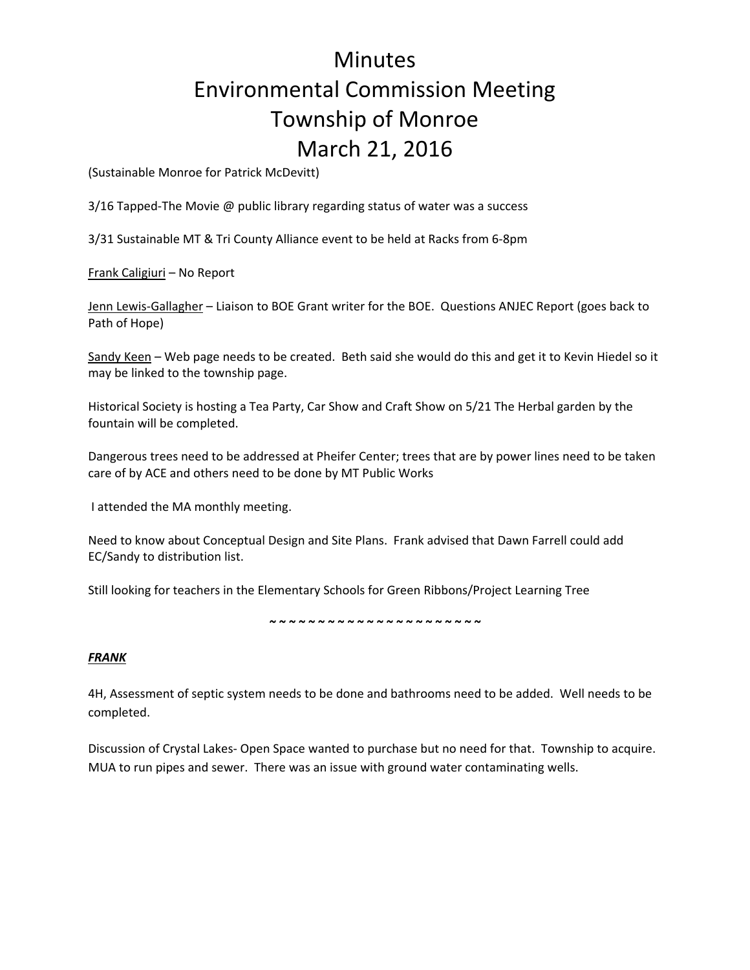# Minutes Environmental Commission Meeting Township of Monroe March 21, 2016

(Sustainable Monroe for Patrick McDevitt)

3/16 Tapped-The Movie @ public library regarding status of water was a success

3/31 Sustainable MT & Tri County Alliance event to be held at Racks from 6‐8pm

Frank Caligiuri – No Report

Jenn Lewis‐Gallagher – Liaison to BOE Grant writer for the BOE. Questions ANJEC Report (goes back to Path of Hope)

Sandy Keen - Web page needs to be created. Beth said she would do this and get it to Kevin Hiedel so it may be linked to the township page.

Historical Society is hosting a Tea Party, Car Show and Craft Show on 5/21 The Herbal garden by the fountain will be completed.

Dangerous trees need to be addressed at Pheifer Center; trees that are by power lines need to be taken care of by ACE and others need to be done by MT Public Works

I attended the MA monthly meeting.

Need to know about Conceptual Design and Site Plans. Frank advised that Dawn Farrell could add EC/Sandy to distribution list.

Still looking for teachers in the Elementary Schools for Green Ribbons/Project Learning Tree

*~ ~ ~ ~ ~ ~ ~ ~ ~ ~ ~ ~ ~ ~ ~ ~ ~ ~ ~ ~ ~ ~*

### *FRANK*

4H, Assessment of septic system needs to be done and bathrooms need to be added. Well needs to be completed.

Discussion of Crystal Lakes‐ Open Space wanted to purchase but no need for that. Township to acquire. MUA to run pipes and sewer. There was an issue with ground water contaminating wells.